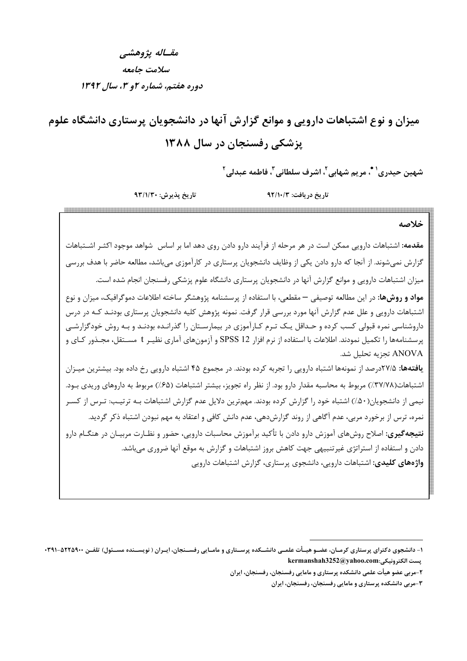مقساله يژوهشي سلامت جامعه دوره هفتم، شماره ۲و ۳، سال ۱۳۹۲

میزان و نوع اشتباهات دارویی و موانع گزارش آنها در دانشجویان پرستاری دانشگاه علوم یزشکی رفسنجان در سال ۱۳۸۸

شهين حيدري<sup>' \*</sup>، مريم شهابي<sup>۲</sup>، اشرف سلطاني″، فاطمه عبدلي<sup>۲</sup>

تاريخ پذيرش: ٩٣/١/٣٠

تاريخ دريافت: ٩٢/١٠/٣

### خلاصه

<mark>مقدمه:</mark> اشتباهات دارویی ممکن است در هر مرحله از فرآیند دارو دادن روی دهد اما بر اساس شواهد موجود اکثـر اشــتباهات گزارش نمیشوند. از آنجا که دارو دادن یکی از وظایف دانشجویان پرستاری در کارآموزی میباشد، مطالعه حاضر با هدف بررسی میزان اشتباهات دارویی و موانع گزارش آنها در دانشجویان پرستاری دانشگاه علوم پزشکی رفسنجان انجام شده است.

**مواد و روشها**: در این مطالعه توصیفی — مقطعی، با استفاده از پرسشنامه پژوهشگر ساخته اطلاعات دموگرافیک، میزان و نوع اشتباهات دارویی و علل عدم گزارش آنها مورد بررسی قرار گرفت. نمونه پژوهش کلیه دانشجویان پرستاری بودنـد کـه در درس داروشناسی نمره قبولی کسب کرده و حـداقل یـک تـرم کـارآموزی در بیمارسـتان را گذرانـده بودنـد و بـه روش خودگزارشـی پرسشنامهها را تکمیل نمودند. اطلاعات با استفاده از نرم افزار SPSS 12 و آزمونهای آماری نظیـر t مسـتقل، مجـذور کـای و ANOVA تجزيه تحليل شد.

**یافتهها:** ۲۷/۵درصد از نمونهها اشتباه دارویی را تجربه کرده بودند. در مجموع ۴۵ اشتباه دارویی رخ داده بود. بیشترین میـزان اشتباهات(٣٧/٧٨٪) مربوط به محاسبه مقدار دارو بود. از نظر راه تجويز، بيشتر اشتباهات (۶۵٪) مربوط به داروهاي وريدي بـود. نیمی از دانشجویان(۵۰٪) اشتباه خود را گزارش کرده بودند. مهمترین دلایل عدم گزارش اشتباهات بـه ترتیـب: تـرس از کسـر نمره، ترس از برخورد مربی، عدم آگاهی از روند گزارشدهی، عدم دانش کافی و اعتقاد به مهم نبودن اشتباه ذکر گردید. **نتیجه گیری:** اصلاح روشهای آموزش دارو دادن با تأکید برآموزش محاسبات دارویی، حضور و نظـارت مربیـان در هنگــام دارو دادن و استفاده از استراتژی غیرتنبیهی جهت کاهش بروز اشتباهات و گزارش به موقع آنها ضروری می باشد. واژههای کلیدی: اشتباهات دارویی، دانشجوی پرستاری، گزارش اشتباهات دارویی

۱- دانشجوی دکترای پرستاری کرمـان، عضـو هیــأت علمــی دانشــکده پرســتاری و مامــایی رفســنجان، ایــران ( نویســنده مســئول) تلفــن ۵۲۲۵۹۰۰-۴۹۱kermanshah3252@yahoo.com:يست الكترونيكي

۲-مربی عضو هیأت علمی دانشکده پرستاری و مامایی رفسنجان، رفسنجان، ایران

۳-مربی دانشکده پرستاری و مامایی رفسنجان، رفسنجان، ایران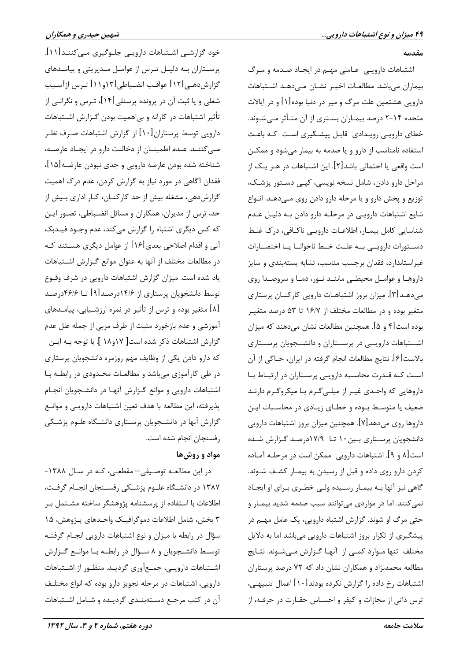#### مقدمه

اشتباهات دارویی عاملی مهم در ایجاد صدمه و مرگ بیماران می باشد. مطالعـات اخیـر نشـان مـی۵هـد اشـتباهات دارویی هشتمین علت مرگ و میر در دنیا بوده[۱] و در ایالات متحده ۲-۱۴ درصد بیمـاران بسـتري از آن متـأثر مـيشـوند. خطای دارویی رویدادی قابل پیشگیری است که باعث استفاده نامناسب از دارو و یا صدمه به بیمار می شود و ممکـن است واقعی یا احتمالی باشد[۲]. این اشتباهات در هـر یـک از مراحل دارو دادن، شامل نسخه نویسی، کپـی دسـتور پزشـک، توزیع و پخش دارو و یا مرحله دارو دادن روی مےدهـد. انـواع شایع اشتباهات دارویے در مرحلـه دارو دادن بـه دلیـل عـدم شناسایی کامل بیمـار، اطلاعـات دارویـی ناکـافی، درک غلـط دستقورات دارويني بنه علىت خبط ناخوانيا ينا اختصبارات .<br>غیراستاندارد، فقدان برچسب مناسب، تشابه بستهبندی و سایز داروهـا و عوامـل محیطـی ماننـد نـور، دمـا و سروصـدا روی میدهـد[۳]. میزان بروز اشتباهـات دارویی کارکنـان پرستاری متغیر بوده و در مطالعات مختلف از ۱۶/۷ تا ۵۳ درصد متغیـر بوده است[۴ و ۵]. همچنین مطالعات نشان میدهند که میزان اشــتباهات دارويــى در پرســتاران و دانشــجويان پرســتارى بالاست[۶]. نتايج مطالعات انجام گرفته در ايران، حــاكي از آن است کـه قـدرت محاسـبه دارويـي پرسـتاران در ارتبـاط بـا داروهایی که واحـدی غیـر از میلـی گـرم یـا میکروگـرم دارنـد ضعیف یا متوسط بوده و خطای زیادی در محاسـبات ایـن داروها روی میدهد[۷]. همچنین میزان بروز اشتباهات دارویی دانشجویان پرستاری بین ۱۰ تا ۱۷/۹درصد گزارش شده است [۸ و ۹]. اشتباهات دارویی ممکن است در مرحلـه آمـاده کردن دارو روی داده و قبل از رسیدن به بیمـار کشـف شـوند. گاهی نیز آنها بـه بیمـار رسـیده ولـی خطـری بـرای او ایجـاد نمي كنند. اما در مواردي مي توانند سبب صدمه شديد بيمـار و حتی مرگ او شوند. گزارش اشتباه دارویی، یک عامل مهـم در پیشگیری از تکرار بروز اشتباهات دارویی میباشد اما به دلایل مختلف تنها مـوارد كمـى از آنهـا گـزارش مـىشـوند. نتـايج مطالعه محمدنژاد و همکاران نشان داد که ۷۲ درصد پرستاران اشتباهات رخ داده را گزارش نکرده بودند $[\,\cdot\, \cdot\,]$  اعمال تنبیهـی، ترس ذاتی از مجازات و کیفر و احسـاس حقـارت در حرفـه، از

خود گزارشـی اشــتباهات دارویـی جلــوگیری مــیکننــد[۱۱]. پرستاران بـه دليـل تـرس از عوامـل مـديريتي و پيامـدهاي گزارش دهـی [۱۲] عواقـب انضـباطی [۱۲و ۱۱] تـرس ازآسـیب شغلی و یا ثبت آن در پرونده پرسنلی[۱۴]، تـرس و نگرانـی از تأثیر اشتباهات در کارانه و بی|همیت بودن گـزارش اشـتباهات دارویی توسط پرستاران[۱۰] از گزارش اشتباهات صـرف نظـر می کننـد. عـدم اطمینـان از دخالـت دارو در ایجـاد عارضـه، شناخته شده بودن عارضه دارويي و جدي نبودن عارضـه[۱۵]، فقدان آگاهی در مورد نیاز به گزارش کردن، عدم درک اهمیت گزارشدهی، مشغله بیش از حد کارکنـان، کـار اداری بـیش از حد، ترس از مدیران، همکاران و مسائل انضـباطی، تصـور ایـن که کس دیگری اشتباه را گزارش میکند، عدم وجـود فیـدبک آنی و اقدام اصلاحی بعدی[۱۶] از عوامل دیگری هســتند کـه در مطالعات مختلف از آنها به عنوان موانع گـزارش اشـتباهات یاد شده است. میزان گزارش اشتباهات دارویی در شرف وقـوع توسط دانشجویان پرستاری از ۱۴/۶درصد[۹] تــا ۴۶/۶درصـد [۸] متغیر بوده و ترس از تأثیر در نمره ارزشـیابی، پیامـدهای آموزشي و عدم بازخورد مثبت از طرف مربي از جمله علل عدم گزارش اشتباهات ذکر شده است[ ۱۸و۱۸ ]. با توجه بـه ایــن که دارو دادن یکی از وظایف مهم روزمره دانشجویان پرستاری در طی کارآموزی میباشد و مطالعات محدودی در رابطـه بـا اشتباهات دارویی و موانع گزارش آنها در دانشجویان انجام پذیرفته، این مطالعه با هدف تعین اشتباهات دارویی و موانع گزارش آنها در دانشجویان پرستاری دانشگاه علوم پزشکی رفسنجان انجام شده است.

## مواد و روش ها

در این مطالعه توصیفی- مقطعی، کـه در سـال ١٣٨٨-۱۳۸۷ در دانشـگاه علــوم پزشــکی رفســنجان انجــام گرفــت، اطلاعات با استفاده از پرسشنامه پژوهشگر ساخته مشـتمل بـر ۳ بخش، شامل اطلاعات دموگرافیـک واحـدهای پـژوهش، ۱۵ سؤال در رابطه با میزان و نوع اشتباهات دارویی انجام گرفتـه توسـط دانشـجویان و ۸ سـؤال در رابطـه بـا موانـع گـزارش اشـتباهات دارويـي، جمـعآوري گرديـد. منظـور از اشـتباهات دارویی، اشتباهات در مرحله تجویز دارو بوده که انواع مختلـف آن در کتب مرجع دستهبندی گردیده و شامل اشتباهات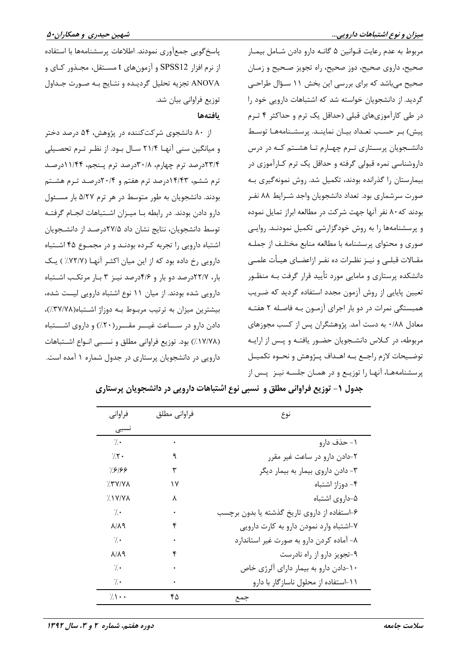مربوط به عدم رعایت قــوانین ۵ گانــه دارو دادن شــامل بیمــار صحیح، داروی صحیح، دوز صحیح، راه تجویز صـحیح و زمـان صحیح میباشد که برای بررسی این بخش ۱۱ سـؤال طراحـی گردید. از دانشجویان خواسته شد که اشتباهات دارویی خود را در طی کارآموزیهای قبلی (حداقل یک ترم و حداکثر ۴ تـرم ييش) بر حسب تعداد بيان نماينـد. پرسشـنامههـا توسـط دانشجویان پرستاری ترم چهارم تا هشتم که در درس داروشناسی نمره قبولی گرفته و حداقل یک ترم کـارآموزی در بیمارستان را گذرانده بودند، تکمیل شد. روش نمونهگیری بـه صورت سرشماری بود. تعداد دانشجویان واجد شـرایط ۸۸ نفـر بودند که ۸۰ نفر آنها جهت شرکت در مطالعه ابراز تمایل نموده و پرسشنامهها را به روش خودگزارشی تکمیل نمودنـد. روایـی صوری و محتوای پرسشنامه با مطالعه منابع مختلـف از جملـه مقــالات قبلــي و نيــز نظــرات ده نفــر ازاعضــاي هيــأت علمــي دانشکده پرستاری و مامایی مورد تأیید قرار گرفت بـه منظـور تعیین پایایی از روش آزمون مجدد استفاده گردید که ضریب همبستگی نمرات در دو بار اجرای آزمـون بـه فاصـله ۲ هفتـه معادل ۰/۸۸ به دست آمد. پژوهشگران پس از کسب مجوزهای مربوطه، در کـلاس دانشـجویان حضـور یافتـه و پـس از ارایـه توضـيحات لازم راجـع بـه اهـداف پــژوهش و نحــوه تكميــل پرسشنامههـا، آنهـا را توزيــع و در همــان جلســه نيــز پــس از

یاسخ گویی جمع آوری نمودند. اطلاعات پرسشنامهها با استفاده از نرم افزار SPSS12 و آزمونهای t مســتقل، مجــذور کــای و ANOVA تجزيه تحليل گرديـده و نتـايج بـه صـورت جـداول توزيع فراواني بيان شد.

بافتهها

از ۸۰ دانشجوی شرکتکننده در پژوهش، ۵۴ درصد دختر و میانگین سنی آنها ۲۱/۴ سـال بـود. از نظـر تـرم تحصـیلی ۲۳/۴درصد ترم چهارم، ۳۰/۸درصد ترم پـنجم، ۱۱/۴۴درصـد ترم ششم، ۱۴/۴۳درصد ترم هفتم و ۲۰/۴درصـد تـرم هشـتم بودند. دانشجویان به طور متوسط در هر ترم ۵/۲۷ بار مسئول دارو دادن بودند. در رابطه بـا میـزان اشـتباهات انجـام گرفتـه توسط دانشجویان، نتایج نشان داد ۲۷/۵درصـد از دانشـجویان اشتباه دارویی را تجربه کرده بودنـد و در مجمـوع ۴۵ اشـتباه دارویی رخ داده بود که از این میان اکثـر آنهـا (٧٢/٧٪) یـک بار، ۲۲/۷درصد دو بار و ۴/۶درصد نیـز ۳ بـار مرتکـب اشـتباه دارویی شده بودند. از میان ۱۱ نوع اشتباه دارویی لیست شده، بیشترین میزان به ترتیب مربوط به دوزاژ اشتباه(٣٧/٧٨٪)، دادن دارو در ســاعت غیـــر مقـــر(۲۰٪) و داروی اشـــتباه (١٧/٧٨٪) بود. توزيع فراواني مطلق و نسببي انـواع اشـتباهات دارویی در دانشجویان پرستاری در جدول شماره ۱ آمده است.

| فراواني           | فراواني مطلق | نوع                                          |
|-------------------|--------------|----------------------------------------------|
| نسبى              |              |                                              |
| $\gamma$ .        | ٠            | ۱ – حذف دارو                                 |
| $7.7 \cdot$       | ٩            | ۲-دادن دارو در ساعت غیر مقرر                 |
| 9919)             | ٣            | ٣- دادن داروي بيمار به بيمار ديگر            |
| $7.5$ Y/Y A       | ۱۷           | ۴- دوزاژ اشتباه                              |
| $7.1Y/Y\Lambda$   | ٨            | ۵–داروی اشتباه                               |
| $\gamma$ .        | ٠            | ۶-استفاده از داروی تاریخ گذشته یا بدون برچسب |
| 8 X / X           | ۴            | ۷-اشتباه وارد نمودن دارو به کارت دارویی      |
| $\gamma$ .        | ٠            | ۸– آماده کردن دارو به صورت غیر استاندارد     |
| $A/\lambda$       | ۴            | ۹-تجویز دارو از راه نادرست                   |
| $\cdot$ .         |              | ۱۰–دادن دارو به بیمار دارای آلرژی خاص        |
| $\cdot$ .         | ٠            | ۰۱۱–استفاده از محلول ناسازگار با دارو        |
| $7.1 \cdot \cdot$ | ۴۵           | جمع                                          |

جدول ۱- توزیع فراوانی مطلق و نسبی نوع اشتباهات دارویی در دانشجویان پرستاری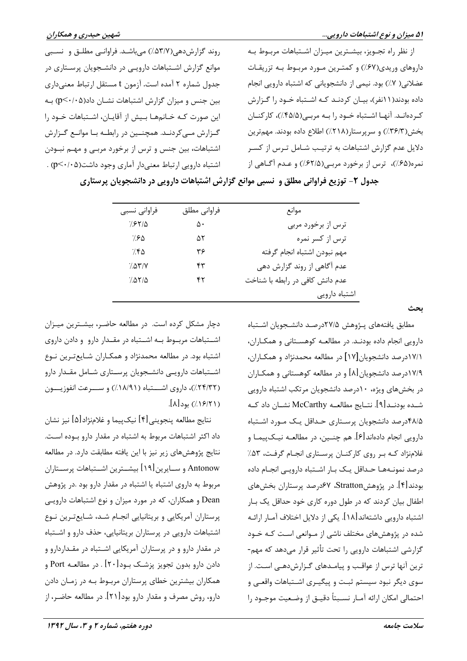از نظر راه تجـویز، بیشـترین میـزان اشـتباهات مربـوط بـه داروهای وریدی(۶۷٪) و کمتـرین مـورد مربـوط بـه تزریقـات عضلانی( ٧٪) بود. نیمی از دانشجویانی که اشتباه دارویی انجام داده بودند(۱۱نفر)، بیـان کردنـد کـه اشـتباه خـود را گـزارش کردهانـد. آنهـا اشـتباه خـود را بـه مربـی(۴۵/۵٪)، کارکنـان بخش(٣۶/٣٪) و سرپرستار(٢١٨٪) اطلاع داده بودند. مهمترين دلایل عدم گزارش اشتباهات به ترتیب شـامل تـرس از کسـر نمره(۶۵٪)، ترس از برخورد مربـی(۶۲/۵٪) و عـدم آگــاهي از

روند گزارشدهی(۵۳/۷٪) میباشد. فراوانبی مطلق و نسبی موانع گزارش اشـتباهات دارویـی در دانشـجویان پرسـتاری در جدول شماره ۲ آمده است. آزمون t مستقل ارتباط معنىدارى بین جنس و میزان گزارش اشتباهات نشـان داد(p<۰/۰۵) بـه این صورت کـه خـانمهـا بـیش از آقایـان، اشـتباهات خـود را گـزارش مـی کردنـد. همچنـین در رابطـه بـا موانـع گـزارش اشتباهات، بین جنس و ترس از برخورد مربـی و مهـم نبـودن اشتباه دارويي ارتباط معنىدار آماري وجود داشت(p<٠/٠۵) .

جدول ۲- توزیع فراوانی مطلق و نسبی موانع گزارش اشتباهات دارویی در دانشجویان پرستاری

| فراواني نسبي  | فراواني مطلق | موانع                           |
|---------------|--------------|---------------------------------|
| 7.8710        | ۵۰           | ترس از برخورد مربی              |
| 7.80          | ۵۲           | ترس از کسر نمره                 |
| 7.50          | ۳۶           | مهم نبودن اشتباه انجام گرفته    |
| 7.07/V        | ۴۳           | عدم آگاهی از روند گزارش دهی     |
| $7.07/\Delta$ | ۴۲           | عدم دانش كافي در رابطه با شناخت |
|               |              | اشتباه دارويي                   |

دچار مشکل کرده است. در مطالعه حاضر، بیشترین میـزان اشتباهات مربوط به اشتباه در مقـدار دارو و دادن داروی اشتباه بود. در مطالعه محمدنژاد و همکـاران شـایعتـرین نـوع اشتباهات دارويے دانشجويان پرستارى شامل مقدار دارو (٢٣/٣٢٪)، داروي اشستباه (١٨/٩١٪) و سسرعت انفوزيسون  $[ \lambda ]$ بود (۱۶/۲۱)

نتايج مطالعه پنجويني[۴] نيکپيما و غلامنژاد[۵] نيز نشان داد اکثر اشتباهات مربوط به اشتباه در مقدار دارو بـوده اسـت. نتايج پژوهشهاي زير نيز با اين يافته مطابقت دارد. در مطالعه Antonow و ســايرين[١٩] بيشــترين اشــتباهات پرســتاران مربوط به داروی اشتباه یا اشتباه در مقدار دارو بود .در پژوهش Dean و همکاران، که در مورد میزان و نوع اشتباهات دارویی پرستاران آمریکایی و بریتانیایی انجـام شـد، شـایعترین نـوع اشتباهات دارویی در پرستاران بریتانیایی، حذف دارو و اشتباه در مقدار دارو و در پرستاران آمریکایی اشـتباه در مقـداردارو و دادن دارو بدون تجویز پزشـک بــود[۲۰] . در مطالعــه Port و همکاران بیشترین خطای پرستاران مربوط بـه در زمـان دادن دارو، روش مصرف و مقدار دارو بود[۲۱]. در مطالعه حاضـر، از ىحث

مطابق يافتههاى يـژوهش ٢٧/۵درصـد دانشـجويان اشـتباه دارویی انجام داده بودنـد. در مطالعـه کوهسـتانی و همکـاران، ١٧/١درصد دانشجویان[١٧] در مطالعه محمدنژاد و همکـاران، ۱۷/۹درصد دانشجویان [۸] و در مطالعه کوهستانی و همکـاران در بخشهای ویژه، ۱۰درصد دانشجویان مرتکب اشتباه دارویی شــده بودنــد[۹]. نتــايج مطالعــه McCarthy نشــان داد كــه ۴۸/۵درصد دانشجویان پرستاری حـداقل یـک مـورد اشـتباه دارويي انجام دادهاند[۶]. هم چنـين، در مطالعــه نيــکـپيمــا و غلامنژاد کـه بـر روی کارکنـان پرسـتاری انجـام گرفـت، ۵۳٪ درصد نمونـههـا حـداقل يـك بـار اشـتباه دارويـى انجـام داده بودند[۴]. در پژوهشStratton، ۶۷درصد پرستاران بخش های اطفال بیان کردند که در طول دوره کاری خود حداقل یک بـار اشتباه دارویی داشتهاند[۱۸]. یکی از دلایل اختلاف آمـار ارائـه شده در پژوهشهای مختلف ناشی از مـوانعی اسـت کـه خـود گزارشی اشتباهات دارویی را تحت تأثیر قرار میدهد که مهم-ترین آنها ترس از عواقب و پیامـدهای گـزارشدهـی اسـت. از سوی دیگر نبود سیستم ثبت و پیگیـری اشـتباهات واقعـی و احتمالي امكان ارائه آمـار نسـبتاً دقيــق از وضـعيت موجــود را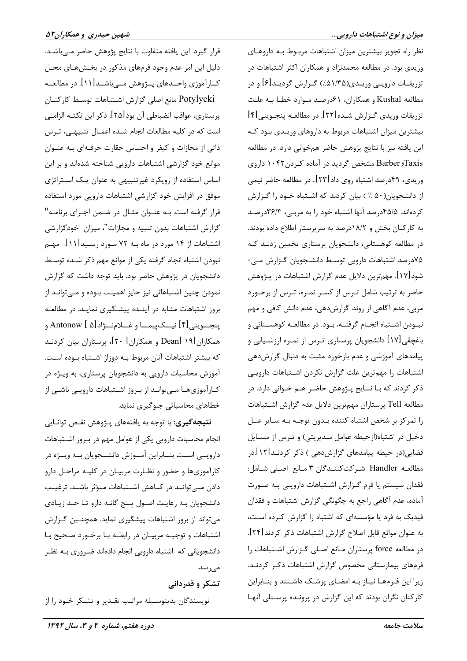نظر راه تجویز بیشترین میزان اشتباهات مربوط بـه داروهـای وریدی بود. در مطالعه محمدنژاد و همکاران اکثر اشتباهات در تزریقــات دارویــی وریــدی(۵۱/۳۵٪) گــزارش گردیــد[۶] و در مطالعه Kushal و همكاران، ۶۱درصد مـوارد خطـا بـه علـت تزريقات وريدي گـزارش شـده[٢٢]. در مطالعـه پنجـويني[۴] بیشترین میزان اشتباهات مربوط به داروهای وریـدی بـود کـه این یافته نیز با نتایج پژوهش حاضر همخوانی دارد. در مطالعه TaxisوBarber مشخص گردید در آماده کردن ۱۰۴۲ داروی وريدي، ۴۹درصد اشتباه روي داد[۲۳]. در مطالعه حاضر نيمي از دانشجویان(۵۰ ٪) بیان کردند که اشتباه خـود را گـزارش کردهاند. ۴۵/۵درصد آنها اشتباه خود را به مربعی، ۳۶/۳درصد به کارکنان بخش و ۱۸/۲درصد به سرپرستار اطلاع داده بودند. در مطالعه کوهستانی، دانشجویان پرستاری تخمین زدنـد کـه ۷۵درصد اشتباهات دارویی توسط دانشجویان گزارش مے-شود[۱۷]. مهمترین دلایل عدم گزارش اشتباهات در پـژوهش حاضر به ترتیب شامل تـرس از کسـر نمـره، تـرس از برخـورد مربی، عدم آگاهی از روند گزارشدهی، عدم دانش کافی و مهم نبودن اشـتباه انجـام گرفتـه، بـود. در مطالعـه كوهسـتاني و باغچقی[۱۷] دانشجویان پرستاری تـرس از نمـره ارزشـیابی و پیامدهای آموزشی و عدم بازخورد مثبت به دنبال گزارشدهی اشتباهات را مهمترين علت گزارش نكردن اشتباهات دارويى ذکر کردند که بـا نتـايج پــژوهش حاضـر هـم خــوانى دارد. در مطالعه Tell پرستاران مهمترين دلايل عدم گزارش اشتباهات را تمرکز بر شخص اشتباه کننده بـدون توجـه بـه سـاير علـل دخیل در اشتباه(ازحیطه عوامل مـدیریتی) و تـرس از مسـایل قضایی(در حیطه پیامدهای گزارشدهی ) ذکر کردنـد[۱۲].در مطالعه Handler شركت كنندگان ٣ مانع اصلي شامل: فقدان سیستم یا فرم گـزارش اشـتباهات دارویـی بـه صـورت آماده، عدم آگاهی راجع به چگونگی گزارش اشتباهات و فقدان فیدبک به فرد یا مؤسسهای که اشتباه را گزارش کرده است، به عنوان موانع قابل اصلاح گزارش اشتباهات ذکر کردند[۲۴]. در مطالعه force پرستاران مـانع اصـلى گـزارش اشـتباهات را فرمهای بیمارستانی مخصوص گزارش اشتباهات ذکر کردنـد. زیرا این فـرمهـا نیـاز بـه امضـای پزشـک داشـتند و بنـابراین کارکنان نگران بودند که این گزارش در پرونـده پرسـنلی آنهـا

قرار گیرد. این یافته متفاوت با نتایج پژوهش حاضر مےباشـد. دلیل این امر عدم وجود فرمهای مذکور در بخـشهـای محـل کــارآموزي واحــدهاي پــژوهش مــي،باشــد[۱۱]. در مطالعــه Potylycki مانع اصلی گزارش اشتباهات توسط کارکنان پرستاري، عواقب انضباطي آن بود[۲۵]. ذكر اين نكتـه الزامـي است که در کلیه مطالعات انجام شـده اعمـال تنبیهـی، تـرس ذاتی از مجازات و کیفر و احساس حقارت حرفهای بـه عنـوان موانع خود گزارشی اشتباهات دارویی شناخته شدهاند و بر این اساس استفاده از رویکرد غیرتنبیهی به عنوان یک استراتژی موفق در افزایش خود گزارشی اشتباهات دارویی مورد استفاده قرار گرفته است. بـه عنـوان مثـال در ضـمن اجـراي برنامـه" گزارش اشتباهات بدون تنبیه و مجازات"، میزان خودگزارشی اشتباهات از ۱۴ مورد در ماه بـه ۷۲ مـورد رسـيد[۱۱]. مهـم نبودن اشتباه انجام گرفته يكي از موانع مهم ذكر شـده توسـط دانشجویان در پژوهش حاضر بود. باید توجه داشت که گزارش نمودن چنین اشتباهاتی نیز حایز اهمیت بـوده و مـی توانـد از بروز اشتباهات مشابه در آینده پیشگیری نماید. در مطالعه ينجـــويني[۴] نيـــکـپيمـــا و غـــلامنـــژاد[۵] Antonow و همکاران[۱۹ ]Dean و همکاران [ ۲۰]، پرستاران بیان کردنـد كه بيشتر اشتباهات آنان مربوط بـه دوزاژ اشـتباه بـوده اسـت. آموزش محاسبات دارویی به دانشجویان پرستاری، به ویـژه در کـارآموزیهـا مـیتوانـد از بـروز اشـتباهات دارویـی ناشـی از خطاهای محاسباتی جلوگیری نماید.

**نتیجهگیری:** با توجه به یافتههای پـژوهش نقـص توانـایی انجام محاسبات دارويي يكي از عوامل مهم در بروز اشتباهات دارویسی اسـت بنــابراین آمــوزش دانشــجویان بــه ویــژه در کارآموزیها و حضور و نظـارت مربیـان در کلیـه مراحـل دارو دادن مــی توانــد در کــاهش اشــتباهات مــؤثر باشــد. ترغیــب دانشجویان بـه رعایـت اصـول پـنج گانـه دارو تـا حـد زیـادی می تواند از بروز اشتباهات پیشگیری نماید. همچنـین گـزارش اشتباهات و توجیـه مربیـان در رابطـه بـا برخـورد صـحیح بـا دانشجویانی که اشتباه دارویی انجام دادهاند ضروری بـه نظـر مے <sub>،ر</sub> سد.

## تشکر و قدردانی

نویسندگان بدینوسـیله مراتـب تقـدیر و تشـکر خـود را از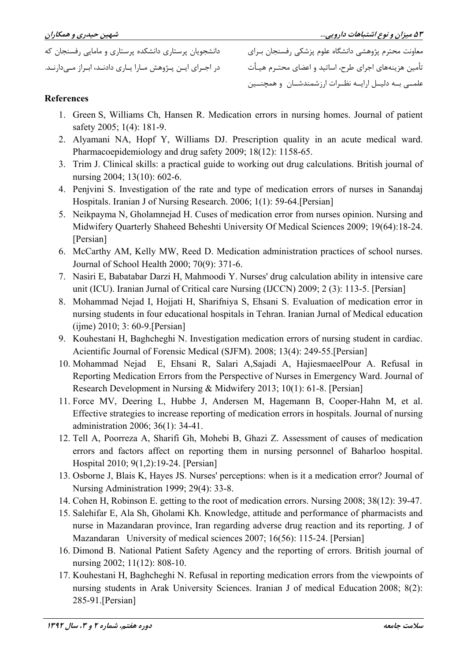دانشجویان پرستاری دانشکده پرستاری و مامایی رفسنجان که در اجـرای ایـن پـژوهش مـارا پـاری دادنـد، ابـراز مــ ٍدارنـد.

معاونت محترم پژوهشی دانشگاه علوم پزشکی رفسنجان بـرای .<br>تأمین هزینههای اجرای طرح، اساتید و اعضای محتـرم هیـأت علمــی بــه دلیــل ارایــه نظــرات ارزشمندشــان و همچنــین

#### **References**

- 1. Green S, Williams Ch, Hansen R. Medication errors in nursing homes. Journal of patient safety 2005; 1(4): 181-9.
- 2. Alyamani NA, Hopf Y, Williams DJ. Prescription quality in an acute medical ward. Pharmacoepidemiology and drug safety 2009; 18(12): 1158-65.
- 3. Trim J. Clinical skills: a practical guide to working out drug calculations. British journal of nursing 2004; 13(10): 602-6.
- 4. Penjvini S. Investigation of the rate and type of medication errors of nurses in Sanandaj Hospitals. Iranian J of Nursing Research. 2006; 1(1): 59-64. [Persian]
- 5. Neikpayma N, Gholamnejad H. Cuses of medication error from nurses opinion. Nursing and Midwifery Quarterly Shaheed Beheshti University Of Medical Sciences 2009; 19(64):18-24. [Persian]
- 6. McCarthy AM, Kelly MW, Reed D. Medication administration practices of school nurses. Journal of School Health 2000; 70(9): 371-6.
- 7. Nasiri E, Babatabar Darzi H, Mahmoodi Y. Nurses' drug calculation ability in intensive care unit (ICU). Iranian Jurnal of Critical care Nursing (IJCCN) 2009; 2 (3): 113-5. [Persian]
- 8. Mohammad Nejad I, Hojjati H, Sharifniya S, Ehsani S. Evaluation of medication error in nursing students in four educational hospitals in Tehran. Iranian Jurnal of Medical education  $(iime) 2010; 3: 60-9$ . [Persian]
- 9. Kouhestani H, Baghcheghi N. Investigation medication errors of nursing student in cardiac. Acientific Journal of Forensic Medical (SJFM). 2008; 13(4): 249-55. [Persian]
- 10. Mohammad Nejad E, Ehsani R, Salari A, Sajadi A, HajiesmaeelPour A. Refusal in Reporting Medication Errors from the Perspective of Nurses in Emergency Ward. Journal of Research Development in Nursing & Midwifery 2013; 10(1): 61-8. [Persian]
- 11. Force MV, Deering L, Hubbe J, Andersen M, Hagemann B, Cooper-Hahn M, et al. Effective strategies to increase reporting of medication errors in hospitals. Journal of nursing administration 2006; 36(1): 34-41.
- 12. Tell A, Poorreza A, Sharifi Gh, Mohebi B, Ghazi Z. Assessment of causes of medication errors and factors affect on reporting them in nursing personnel of Baharloo hospital. Hospital 2010; 9(1,2):19-24. [Persian]
- 13. Osborne J, Blais K, Hayes JS. Nurses' perceptions: when is it a medication error? Journal of Nursing Administration 1999; 29(4): 33-8.
- 14. Cohen H, Robinson E. getting to the root of medication errors. Nursing 2008; 38(12): 39-47.
- 15. Salehifar E, Ala Sh, Gholami Kh. Knowledge, attitude and performance of pharmacists and nurse in Mazandaran province, Iran regarding adverse drug reaction and its reporting. J of Mazandaran University of medical sciences 2007; 16(56): 115-24. [Persian]
- 16. Dimond B. National Patient Safety Agency and the reporting of errors. British journal of nursing 2002; 11(12): 808-10.
- 17. Kouhestani H, Baghcheghi N. Refusal in reporting medication errors from the viewpoints of nursing students in Arak University Sciences. Iranian J of medical Education 2008; 8(2): 285-91.[Persian]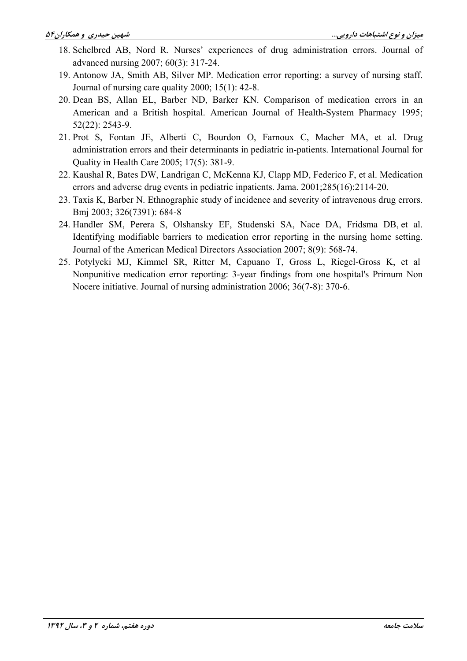- 18. Schelbred AB, Nord R. Nurses' experiences of drug administration errors. Journal of advanced nursing 2007; 60(3): 317-24.
- 19. Antonow JA, Smith AB, Silver MP. Medication error reporting: a survey of nursing staff. Journal of nursing care quality  $2000$ ;  $15(1)$ : 42-8.
- 20. Dean BS, Allan EL, Barber ND, Barker KN. Comparison of medication errors in an American and a British hospital. American Journal of Health-System Pharmacy 1995;  $52(22)$ : 2543-9.
- 21. Prot S, Fontan JE, Alberti C, Bourdon O, Farnoux C, Macher MA, et al. Drug administration errors and their determinants in pediatric in-patients. International Journal for Quality in Health Care 2005; 17(5): 381-9.
- 22. Kaushal R, Bates DW, Landrigan C, McKenna KJ, Clapp MD, Federico F, et al. Medication errors and adverse drug events in pediatric inpatients. Jama. 2001;285(16):2114-20.
- 23. Taxis K, Barber N. Ethnographic study of incidence and severity of intravenous drug errors. Bmj 2003; 326(7391): 684-8
- 24. Handler SM, Perera S, Olshansky EF, Studenski SA, Nace DA, Fridsma DB, et al. Identifying modifiable barriers to medication error reporting in the nursing home setting. Journal of the American Medical Directors Association 2007; 8(9): 568-74.
- 25. Potylycki MJ, Kimmel SR, Ritter M, Capuano T, Gross L, Riegel-Gross K, et al Nonpunitive medication error reporting: 3-year findings from one hospital's Primum Non Nocere initiative. Journal of nursing administration 2006; 36(7-8): 370-6.